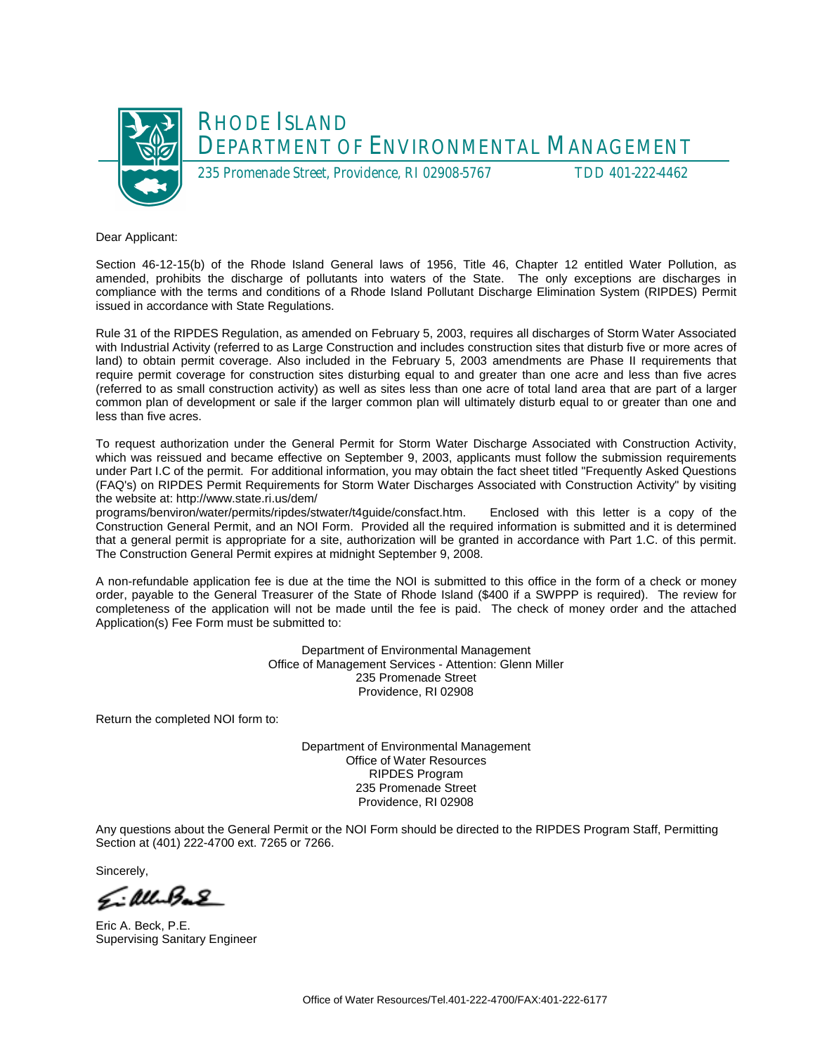

Dear Applicant:

Section 46-12-15(b) of the Rhode Island General laws of 1956, Title 46, Chapter 12 entitled Water Pollution, as amended, prohibits the discharge of pollutants into waters of the State. The only exceptions are discharges in compliance with the terms and conditions of a Rhode Island Pollutant Discharge Elimination System (RIPDES) Permit issued in accordance with State Regulations.

Rule 31 of the RIPDES Regulation, as amended on February 5, 2003, requires all discharges of Storm Water Associated with Industrial Activity (referred to as Large Construction and includes construction sites that disturb five or more acres of land) to obtain permit coverage. Also included in the February 5, 2003 amendments are Phase II requirements that require permit coverage for construction sites disturbing equal to and greater than one acre and less than five acres (referred to as small construction activity) as well as sites less than one acre of total land area that are part of a larger common plan of development or sale if the larger common plan will ultimately disturb equal to or greater than one and less than five acres.

To request authorization under the General Permit for Storm Water Discharge Associated with Construction Activity, which was reissued and became effective on September 9, 2003, applicants must follow the submission requirements under Part I.C of the permit. For additional information, you may obtain the fact sheet titled "Frequently Asked Questions (FAQ's) on RIPDES Permit Requirements for Storm Water Discharges Associated with Construction Activity" by visiting the website at: http://www.state.ri.us/dem/

programs/benviron/water/permits/ripdes/stwater/t4guide/consfact.htm. Enclosed with this letter is a copy of the Construction General Permit, and an NOI Form. Provided all the required information is submitted and it is determined that a general permit is appropriate for a site, authorization will be granted in accordance with Part 1.C. of this permit. The Construction General Permit expires at midnight September 9, 2008.

A non-refundable application fee is due at the time the NOI is submitted to this office in the form of a check or money order, payable to the General Treasurer of the State of Rhode Island (\$400 if a SWPPP is required). The review for completeness of the application will not be made until the fee is paid. The check of money order and the attached Application(s) Fee Form must be submitted to:

> Department of Environmental Management Office of Management Services - Attention: Glenn Miller 235 Promenade Street Providence, RI 02908

Return the completed NOI form to:

Department of Environmental Management Office of Water Resources RIPDES Program 235 Promenade Street Providence, RI 02908

Any questions about the General Permit or the NOI Form should be directed to the RIPDES Program Staff, Permitting Section at (401) 222-4700 ext. 7265 or 7266.

Sincerely,

Eillebal

Eric A. Beck, P.E. Supervising Sanitary Engineer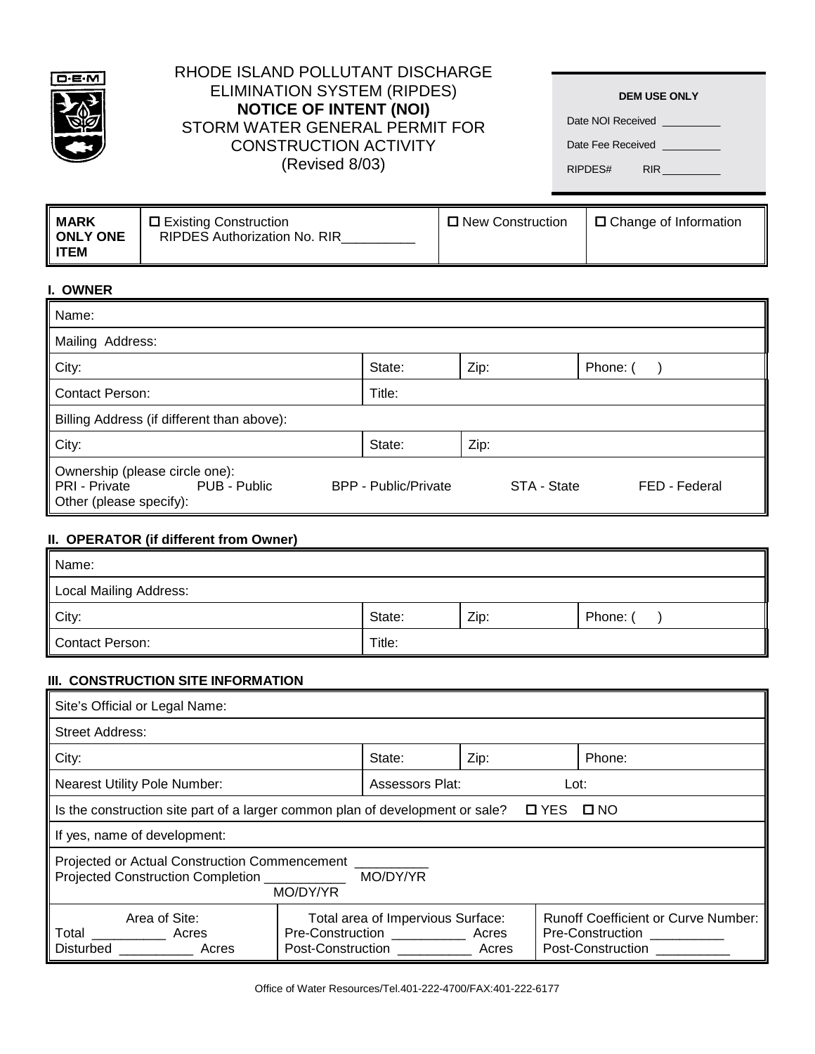

# RHODE ISLAND POLLUTANT DISCHARGE ELIMINATION SYSTEM (RIPDES) **NOTICE OF INTENT (NOI)** STORM WATER GENERAL PERMIT FOR CONSTRUCTION ACTIVITY (Revised 8/03)

Date NOI Received \_ Date Fee Received \_

RIPDES# RIR

| I. OWNER                                                                                   |                             |             |               |
|--------------------------------------------------------------------------------------------|-----------------------------|-------------|---------------|
| Name:                                                                                      |                             |             |               |
| Mailing Address:                                                                           |                             |             |               |
| City:                                                                                      | State:                      | Zip:        | Phone: (      |
| <b>Contact Person:</b>                                                                     | Title:                      |             |               |
| Billing Address (if different than above):                                                 |                             |             |               |
| City:                                                                                      | State:                      | Zip:        |               |
| Ownership (please circle one):<br>PRI - Private<br>PUB - Public<br>Other (please specify): | <b>BPP - Public/Private</b> | STA - State | FED - Federal |

## **II. OPERATOR (if different from Owner)**

| Name:                  |        |      |          |
|------------------------|--------|------|----------|
| Local Mailing Address: |        |      |          |
| City:                  | State: | Zip: | Phone: ( |
| Contact Person:        | Title: |      |          |

# **III. CONSTRUCTION SITE INFORMATION**

| Site's Official or Legal Name:                                                                                           |  |                                                                                       |                |  |                                                                                                             |
|--------------------------------------------------------------------------------------------------------------------------|--|---------------------------------------------------------------------------------------|----------------|--|-------------------------------------------------------------------------------------------------------------|
| <b>Street Address:</b>                                                                                                   |  |                                                                                       |                |  |                                                                                                             |
| City:                                                                                                                    |  | State:                                                                                | Zip:           |  | Phone:                                                                                                      |
| <b>Nearest Utility Pole Number:</b>                                                                                      |  | Assessors Plat:<br>Lot:                                                               |                |  |                                                                                                             |
| Is the construction site part of a larger common plan of development or sale?<br><b>D</b> YES<br>$\Box$ NO               |  |                                                                                       |                |  |                                                                                                             |
| If yes, name of development:                                                                                             |  |                                                                                       |                |  |                                                                                                             |
| <b>Projected or Actual Construction Commencement</b><br>MO/DY/YR<br><b>Projected Construction Completion</b><br>MO/DY/YR |  |                                                                                       |                |  |                                                                                                             |
| Area of Site:<br>Total<br>Acres<br>Disturbed<br>Acres                                                                    |  | Total area of Impervious Surface:<br>Pre-Construction __________<br>Post-Construction | Acres<br>Acres |  | <b>Runoff Coefficient or Curve Number:</b><br>Pre-Construction <b>Pre-Construction</b><br>Post-Construction |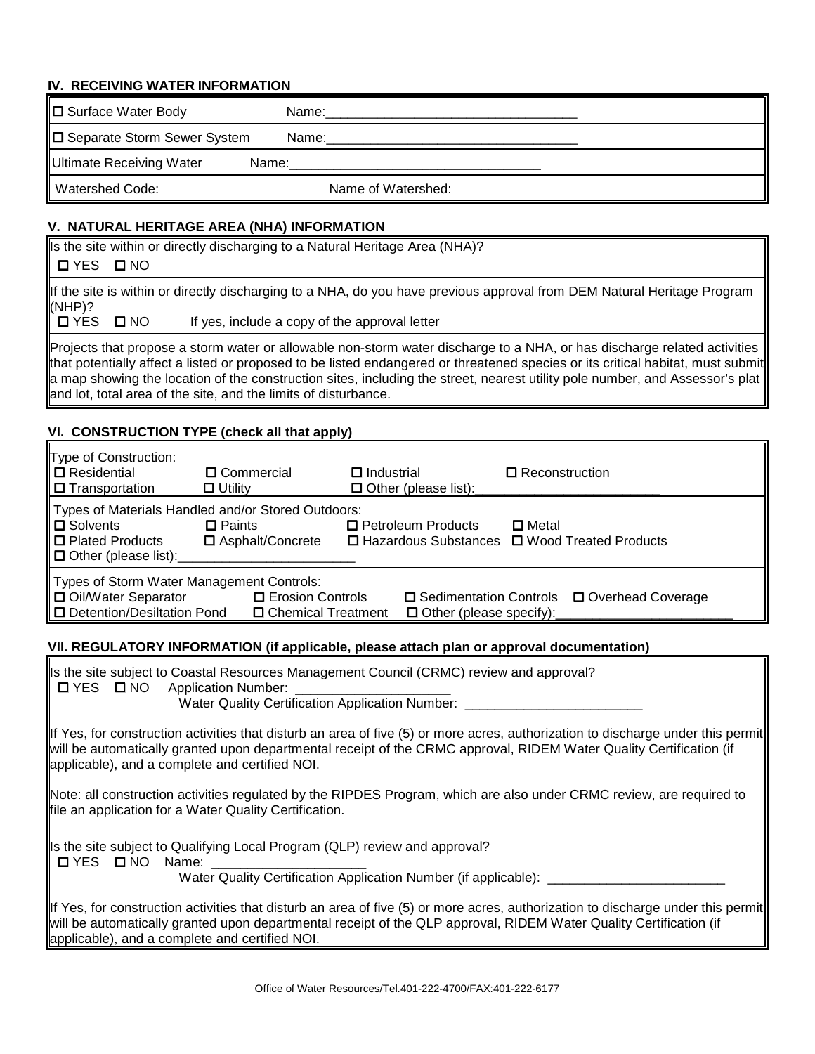#### **IV. RECEIVING WATER INFORMATION**

| □ Surface Water Body          | Name:              |
|-------------------------------|--------------------|
| □ Separate Storm Sewer System | Name:              |
| Ultimate Receiving Water      | Name:              |
| <b>Watershed Code:</b>        | Name of Watershed: |

# **V. NATURAL HERITAGE AREA (NHA) INFORMATION**

Is the site within or directly discharging to a Natural Heritage Area (NHA)?

# ! YES ! NO

If the site is within or directly discharging to a NHA, do you have previous approval from DEM Natural Heritage Program (NHP)?<br>ロ YES

 $\Box$  NO If yes, include a copy of the approval letter

Projects that propose a storm water or allowable non-storm water discharge to a NHA, or has discharge related activities that potentially affect a listed or proposed to be listed endangered or threatened species or its critical habitat, must submit a map showing the location of the construction sites, including the street, nearest utility pole number, and Assessor's plat and lot, total area of the site, and the limits of disturbance.

# **VI. CONSTRUCTION TYPE (check all that apply)**

| Type of Construction:<br>□ Residential<br>$\Box$ Transportation                                                                                                                                                                           | □ Commercial<br>$\Box$ Utility      | $\Box$ Industrial<br>$\Box$ Other (please list): | $\Box$ Reconstruction                                             |
|-------------------------------------------------------------------------------------------------------------------------------------------------------------------------------------------------------------------------------------------|-------------------------------------|--------------------------------------------------|-------------------------------------------------------------------|
| Types of Materials Handled and/or Stored Outdoors:<br>□ Solvents<br>□ Plated Products<br>$\Box$ Other (please list):                                                                                                                      | $\Box$ Paints<br>□ Asphalt/Concrete | □ Petroleum Products                             | $\square$ Metal<br>□ Hazardous Substances □ Wood Treated Products |
| Types of Storm Water Management Controls:<br><b>D</b> Oil/Water Separator<br>□ Erosion Controls<br>□ Sedimentation Controls □ Overhead Coverage<br>□ Detention/Desiltation Pond<br>□ Chemical Treatment<br>$\Box$ Other (please specify): |                                     |                                                  |                                                                   |

#### **VII. REGULATORY INFORMATION (if applicable, please attach plan or approval documentation)**

|                                                | Is the site subject to Coastal Resources Management Council (CRMC) review and approval?<br>ロYES ロNO Application Number: ________<br>Water Quality Certification Application Number: ____                                                                                                                  |
|------------------------------------------------|-----------------------------------------------------------------------------------------------------------------------------------------------------------------------------------------------------------------------------------------------------------------------------------------------------------|
|                                                | If Yes, for construction activities that disturb an area of five (5) or more acres, authorization to discharge under this permit<br>will be automatically granted upon departmental receipt of the CRMC approval, RIDEM Water Quality Certification (if<br>applicable), and a complete and certified NOI. |
|                                                | Note: all construction activities regulated by the RIPDES Program, which are also under CRMC review, are required to<br>file an application for a Water Quality Certification.                                                                                                                            |
| $\Box$ YES $\Box$ NO Name:                     | Is the site subject to Qualifying Local Program (QLP) review and approval?<br>Water Quality Certification Application Number (if applicable): _______                                                                                                                                                     |
| applicable), and a complete and certified NOI. | $\ $ If Yes, for construction activities that disturb an area of five (5) or more acres, authorization to discharge under this permit $\ $<br>will be automatically granted upon departmental receipt of the QLP approval, RIDEM Water Quality Certification (if                                          |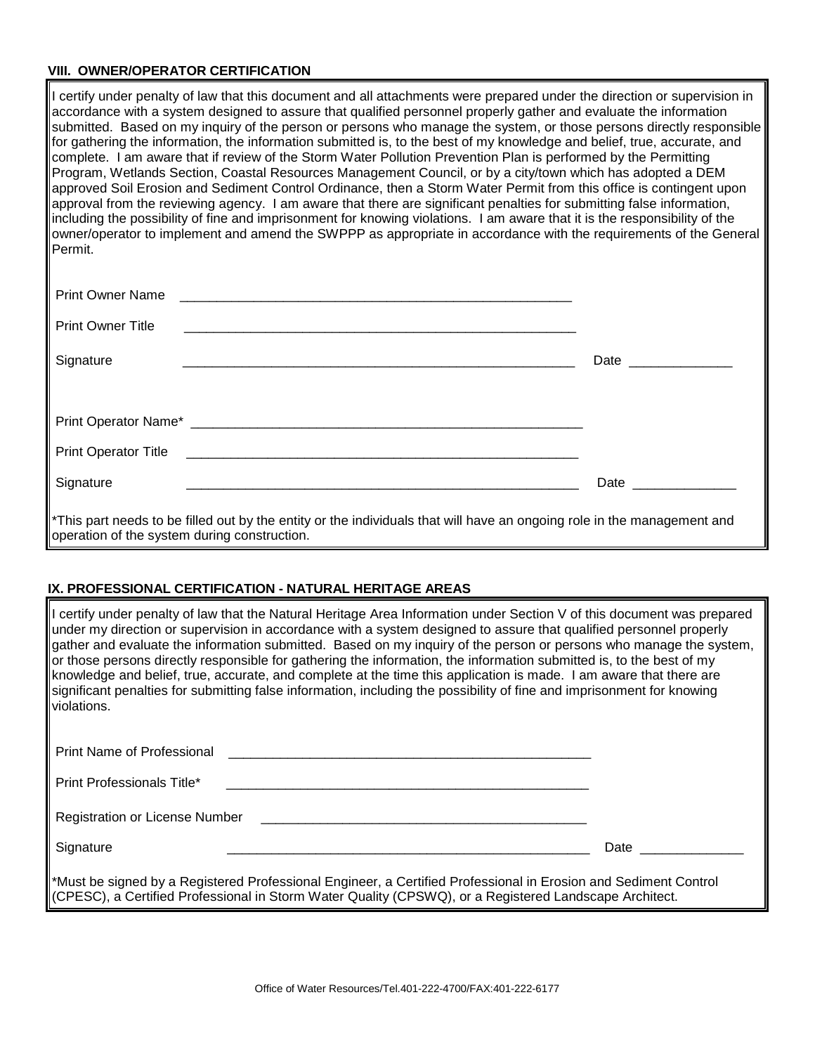# **VIII. OWNER/OPERATOR CERTIFICATION**

I certify under penalty of law that this document and all attachments were prepared under the direction or supervision in accordance with a system designed to assure that qualified personnel properly gather and evaluate the information submitted. Based on my inquiry of the person or persons who manage the system, or those persons directly responsible for gathering the information, the information submitted is, to the best of my knowledge and belief, true, accurate, and complete. I am aware that if review of the Storm Water Pollution Prevention Plan is performed by the Permitting Program, Wetlands Section, Coastal Resources Management Council, or by a city/town which has adopted a DEM approved Soil Erosion and Sediment Control Ordinance, then a Storm Water Permit from this office is contingent upon approval from the reviewing agency. I am aware that there are significant penalties for submitting false information, including the possibility of fine and imprisonment for knowing violations. I am aware that it is the responsibility of the owner/operator to implement and amend the SWPPP as appropriate in accordance with the requirements of the General Permit.

| Print Owner Name                                                                                                                                                        |                      |
|-------------------------------------------------------------------------------------------------------------------------------------------------------------------------|----------------------|
| <b>Print Owner Title</b>                                                                                                                                                |                      |
| Signature                                                                                                                                                               | Date _______________ |
|                                                                                                                                                                         |                      |
|                                                                                                                                                                         |                      |
|                                                                                                                                                                         |                      |
| Signature                                                                                                                                                               |                      |
| *This part needs to be filled out by the entity or the individuals that will have an ongoing role in the management and<br>operation of the system during construction. |                      |

# **IX. PROFESSIONAL CERTIFICATION - NATURAL HERITAGE AREAS**

I certify under penalty of law that the Natural Heritage Area Information under Section V of this document was prepared under my direction or supervision in accordance with a system designed to assure that qualified personnel properly gather and evaluate the information submitted. Based on my inquiry of the person or persons who manage the system, or those persons directly responsible for gathering the information, the information submitted is, to the best of my knowledge and belief, true, accurate, and complete at the time this application is made. I am aware that there are significant penalties for submitting false information, including the possibility of fine and imprisonment for knowing violations.

| <b>Print Name of Professional</b>                                                                                                                                                                                                     |                                                                                                                                                                                                                                |
|---------------------------------------------------------------------------------------------------------------------------------------------------------------------------------------------------------------------------------------|--------------------------------------------------------------------------------------------------------------------------------------------------------------------------------------------------------------------------------|
| <b>Print Professionals Title*</b><br><u> 1990 - Jan Barat, Amerikaansk politiker († 1901)</u>                                                                                                                                         |                                                                                                                                                                                                                                |
|                                                                                                                                                                                                                                       |                                                                                                                                                                                                                                |
| Signature                                                                                                                                                                                                                             | Date and the contract of the contract of the contract of the contract of the contract of the contract of the contract of the contract of the contract of the contract of the contract of the contract of the contract of the c |
| *Must be signed by a Registered Professional Engineer, a Certified Professional in Erosion and Sediment Control<br>$\parallel$ (CPESC), a Certified Professional in Storm Water Quality (CPSWQ), or a Registered Landscape Architect. |                                                                                                                                                                                                                                |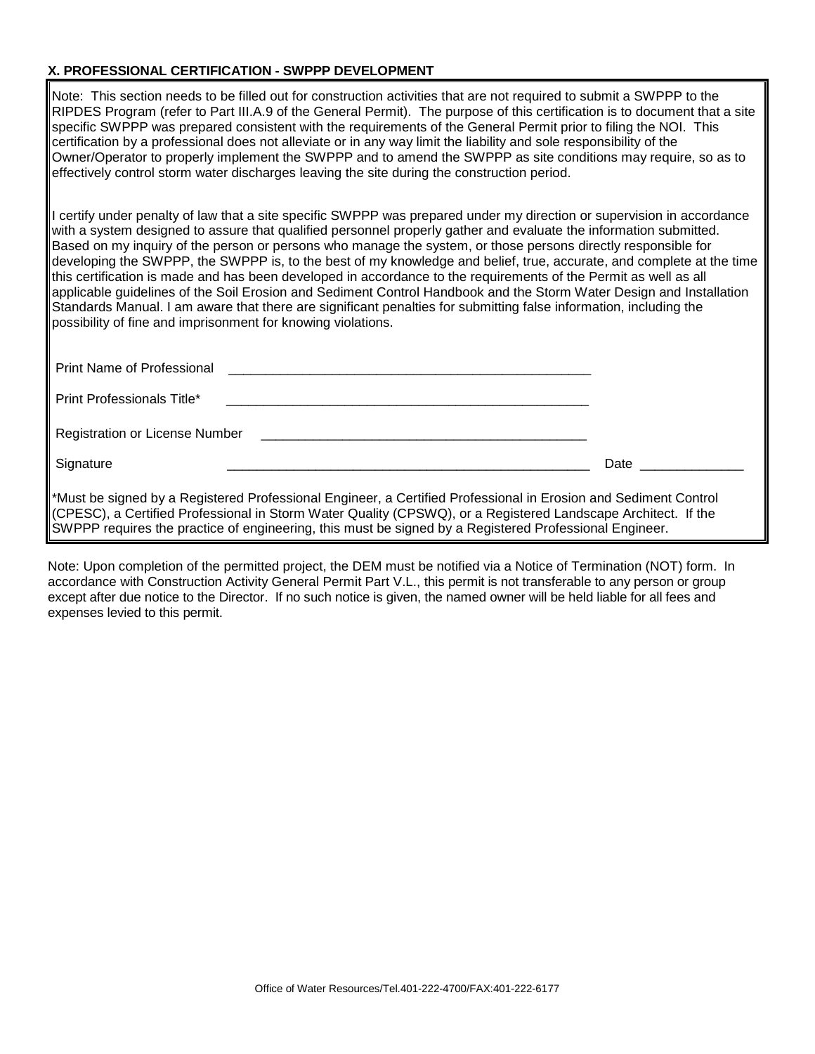# **X. PROFESSIONAL CERTIFICATION - SWPPP DEVELOPMENT**

Note: This section needs to be filled out for construction activities that are not required to submit a SWPPP to the RIPDES Program (refer to Part III.A.9 of the General Permit). The purpose of this certification is to document that a site specific SWPPP was prepared consistent with the requirements of the General Permit prior to filing the NOI. This certification by a professional does not alleviate or in any way limit the liability and sole responsibility of the Owner/Operator to properly implement the SWPPP and to amend the SWPPP as site conditions may require, so as to effectively control storm water discharges leaving the site during the construction period.

I certify under penalty of law that a site specific SWPPP was prepared under my direction or supervision in accordance with a system designed to assure that qualified personnel properly gather and evaluate the information submitted. Based on my inquiry of the person or persons who manage the system, or those persons directly responsible for developing the SWPPP, the SWPPP is, to the best of my knowledge and belief, true, accurate, and complete at the time this certification is made and has been developed in accordance to the requirements of the Permit as well as all applicable guidelines of the Soil Erosion and Sediment Control Handbook and the Storm Water Design and Installation Standards Manual. I am aware that there are significant penalties for submitting false information, including the possibility of fine and imprisonment for knowing violations.

| <b>Print Name of Professional</b>                                                                                                                                                                                                |                                                                                                                 |
|----------------------------------------------------------------------------------------------------------------------------------------------------------------------------------------------------------------------------------|-----------------------------------------------------------------------------------------------------------------|
| Print Professionals Title*                                                                                                                                                                                                       |                                                                                                                 |
|                                                                                                                                                                                                                                  |                                                                                                                 |
| Signature                                                                                                                                                                                                                        | Date and the set of the set of the set of the set of the set of the set of the set of the set of the set of the |
| *Must be signed by a Registered Professional Engineer, a Certified Professional in Erosion and Sediment Control<br>(CPESC), a Certified Professional in Storm Water Quality (CPSWQ), or a Registered Landscape Architect. If the |                                                                                                                 |

Note: Upon completion of the permitted project, the DEM must be notified via a Notice of Termination (NOT) form. In accordance with Construction Activity General Permit Part V.L., this permit is not transferable to any person or group except after due notice to the Director. If no such notice is given, the named owner will be held liable for all fees and expenses levied to this permit.

SWPPP requires the practice of engineering, this must be signed by a Registered Professional Engineer.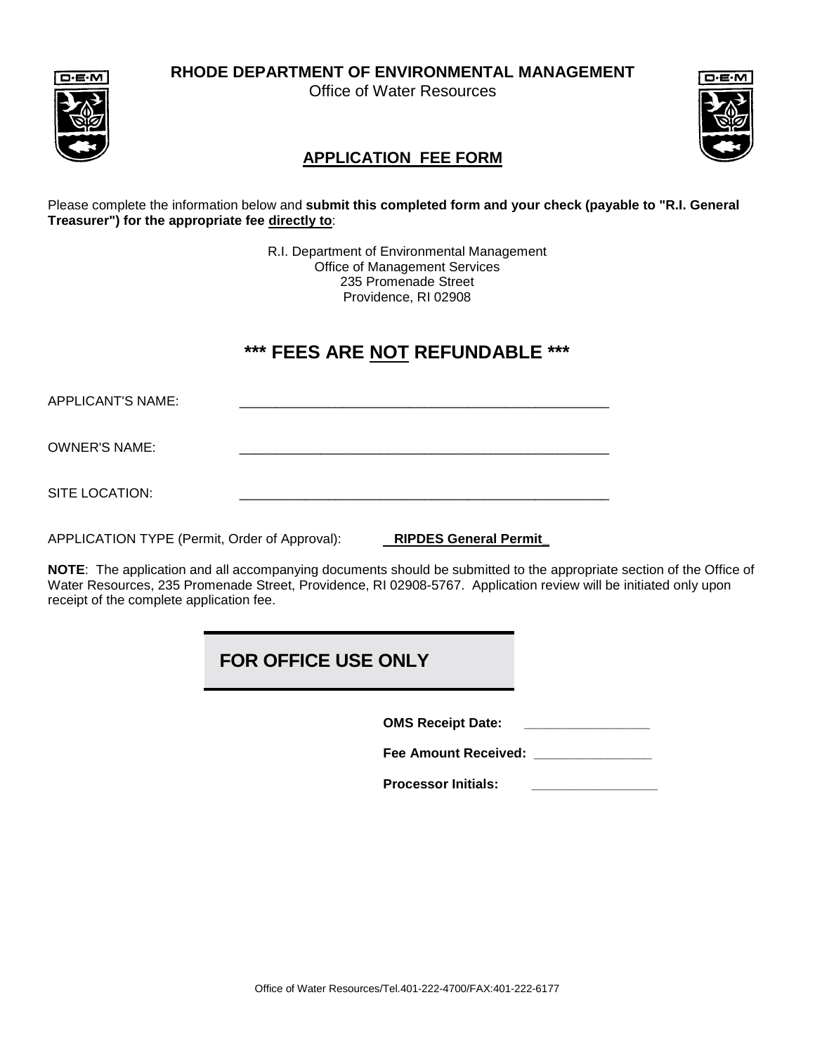**RHODE DEPARTMENT OF ENVIRONMENTAL MANAGEMENT**

Office of Water Resources





# **APPLICATION FEE FORM**

Please complete the information below and **submit this completed form and your check (payable to "R.I. General Treasurer") for the appropriate fee directly to**:

> R.I. Department of Environmental Management Office of Management Services 235 Promenade Street Providence, RI 02908

# **\*\*\* FEES ARE NOT REFUNDABLE \*\*\***

APPLICANT'S NAME:

OWNER'S NAME:

SITE LOCATION:

APPLICATION TYPE (Permit, Order of Approval): **RIPDES General Permit\_** 

**NOTE**: The application and all accompanying documents should be submitted to the appropriate section of the Office of Water Resources, 235 Promenade Street, Providence, RI 02908-5767. Application review will be initiated only upon receipt of the complete application fee.

# **FOR OFFICE USE ONLY**

**OMS Receipt Date: \_\_\_\_\_\_\_\_\_\_\_\_\_\_\_\_\_**

**Fee Amount Received: \_\_\_\_\_\_\_\_\_\_\_\_\_\_\_\_**

**Processor Initials: \_\_\_\_\_\_\_\_\_\_\_\_\_\_\_\_\_**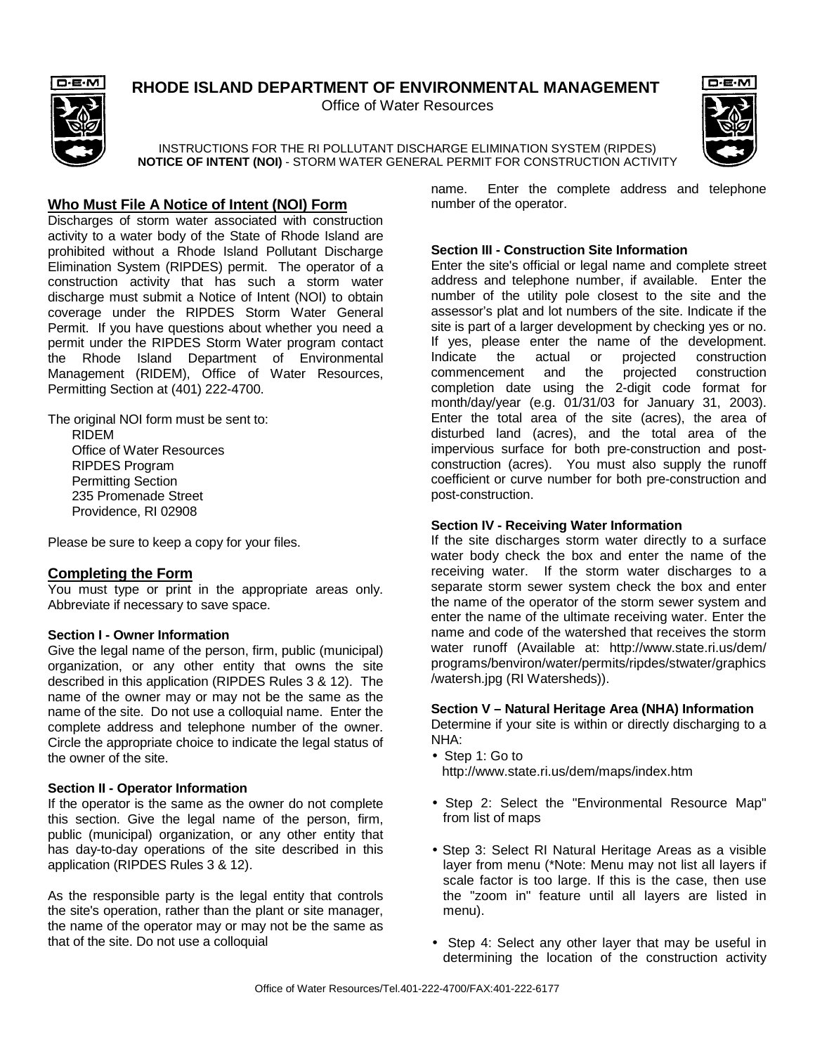# **RHODE ISLAND DEPARTMENT OF ENVIRONMENTAL MANAGEMENT**

Office of Water Resources



# $D \cdot E \cdot M$

INSTRUCTIONS FOR THE RI POLLUTANT DISCHARGE ELIMINATION SYSTEM (RIPDES) **NOTICE OF INTENT (NOI)** - STORM WATER GENERAL PERMIT FOR CONSTRUCTION ACTIVITY

# **Who Must File A Notice of Intent (NOI) Form**

Discharges of storm water associated with construction activity to a water body of the State of Rhode Island are prohibited without a Rhode Island Pollutant Discharge Elimination System (RIPDES) permit. The operator of a construction activity that has such a storm water discharge must submit a Notice of Intent (NOI) to obtain coverage under the RIPDES Storm Water General Permit. If you have questions about whether you need a permit under the RIPDES Storm Water program contact the Rhode Island Department of Environmental Management (RIDEM), Office of Water Resources, Permitting Section at (401) 222-4700.

The original NOI form must be sent to: RIDEM Office of Water Resources RIPDES Program Permitting Section 235 Promenade Street Providence, RI 02908

Please be sure to keep a copy for your files.

# **Completing the Form**

You must type or print in the appropriate areas only. Abbreviate if necessary to save space.

#### **Section I - Owner Information**

Give the legal name of the person, firm, public (municipal) organization, or any other entity that owns the site described in this application (RIPDES Rules 3 & 12). The name of the owner may or may not be the same as the name of the site. Do not use a colloquial name. Enter the complete address and telephone number of the owner. Circle the appropriate choice to indicate the legal status of the owner of the site.

#### **Section II - Operator Information**

If the operator is the same as the owner do not complete this section. Give the legal name of the person, firm, public (municipal) organization, or any other entity that has day-to-day operations of the site described in this application (RIPDES Rules 3 & 12).

As the responsible party is the legal entity that controls the site's operation, rather than the plant or site manager, the name of the operator may or may not be the same as that of the site. Do not use a colloquial

name. Enter the complete address and telephone number of the operator.

## **Section III - Construction Site Information**

Enter the site's official or legal name and complete street address and telephone number, if available. Enter the number of the utility pole closest to the site and the assessor's plat and lot numbers of the site. Indicate if the site is part of a larger development by checking yes or no. If yes, please enter the name of the development. Indicate the actual or projected construction commencement and the projected construction completion date using the 2-digit code format for month/day/year (e.g. 01/31/03 for January 31, 2003). Enter the total area of the site (acres), the area of disturbed land (acres), and the total area of the impervious surface for both pre-construction and postconstruction (acres). You must also supply the runoff coefficient or curve number for both pre-construction and post-construction.

# **Section IV - Receiving Water Information**

If the site discharges storm water directly to a surface water body check the box and enter the name of the receiving water. If the storm water discharges to a separate storm sewer system check the box and enter the name of the operator of the storm sewer system and enter the name of the ultimate receiving water. Enter the name and code of the watershed that receives the storm water runoff (Available at: http://www.state.ri.us/dem/ programs/benviron/water/permits/ripdes/stwater/graphics /watersh.jpg (RI Watersheds)).

#### **Section V – Natural Heritage Area (NHA) Information**

Determine if your site is within or directly discharging to a NHA:

- Step 1: Go to http://www.state.ri.us/dem/maps/index.htm
- Step 2: Select the "Environmental Resource Map" from list of maps
- Step 3: Select RI Natural Heritage Areas as a visible layer from menu (\*Note: Menu may not list all layers if scale factor is too large. If this is the case, then use the "zoom in" feature until all layers are listed in menu).
- Step 4: Select any other layer that may be useful in determining the location of the construction activity